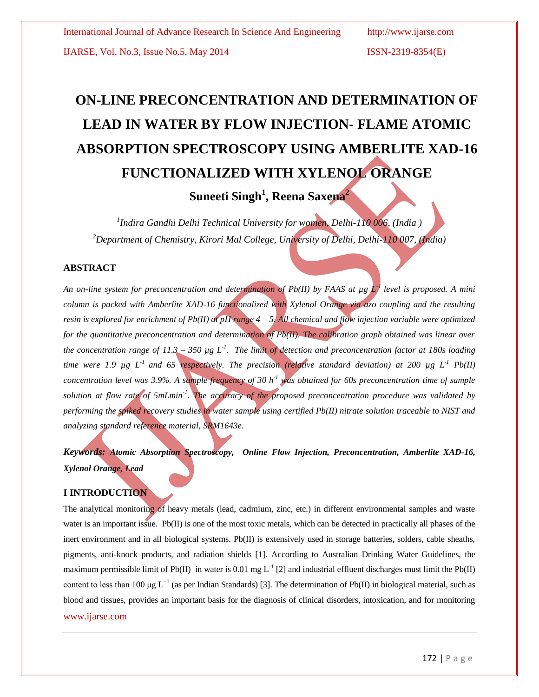# **ON-LINE PRECONCENTRATION AND DETERMINATION OF LEAD IN WATER BY FLOW INJECTION- FLAME ATOMIC ABSORPTION SPECTROSCOPY USING AMBERLITE XAD-16 FUNCTIONALIZED WITH XYLENOL ORANGE**

**Suneeti Singh<sup>1</sup> , Reena Saxena<sup>2</sup>**

*1 Indira Gandhi Delhi Technical University for women, Delhi-110 006, (India ) <sup>2</sup>Department of Chemistry, Kirori Mal College, University of Delhi, Delhi-110 007, (India)*

# **ABSTRACT**

*An on-line system for preconcentration and determination of Pb(II) by FAAS at µg L-1 level is proposed. A mini column is packed with Amberlite XAD-16 functionalized with Xylenol Orange via azo coupling and the resulting resin is explored for enrichment of Pb(II) at pH range 4 – 5. All chemical and flow injection variable were optimized for the quantitative preconcentration and determination of Pb(II). The calibration graph obtained was linear over the concentration range of 11.3 – 350 µg L-1 . The limit of detection and preconcentration factor at 180s loading time were 1.9 µg L<sup>-1</sup> and 65 respectively. The precision (relative standard deviation) at 200 µg L<sup>-1</sup>*  $Pb(II)$ *concentration level was 3.9%. A sample frequency of 30 h<sup>-1</sup> <i>yas obtained for 60s preconcentration time of sample solution at flow rate of 5mLmin-1 . The accuracy of the proposed preconcentration procedure was validated by performing the spiked recovery studies in water sample using certified Pb(II) nitrate solution traceable to NIST and analyzing standard reference material, SRM1643e.*

*Keywords: Atomic Absorption Spectroscopy, Online Flow Injection, Preconcentration, Amberlite XAD-16, Xylenol Orange, Lead*

# **I INTRODUCTION**

www.ijarse.com The analytical monitoring of heavy metals (lead, cadmium, zinc, etc.) in different environmental samples and waste water is an important issue. Pb(II) is one of the most toxic metals, which can be detected in practically all phases of the inert environment and in all biological systems. Pb(II) is extensively used in storage batteries, solders, cable sheaths, pigments, anti-knock products, and radiation shields [1]. According to Australian Drinking Water Guidelines, the maximum permissible limit of Pb(II) in water is 0.01 mg  $L^{-1}$  [2] and industrial effluent discharges must limit the Pb(II) content to less than 100 µg  $L^{-1}$  (as per Indian Standards) [3]. The determination of Pb(II) in biological material, such as blood and tissues, provides an important basis for the diagnosis of clinical disorders, intoxication, and for monitoring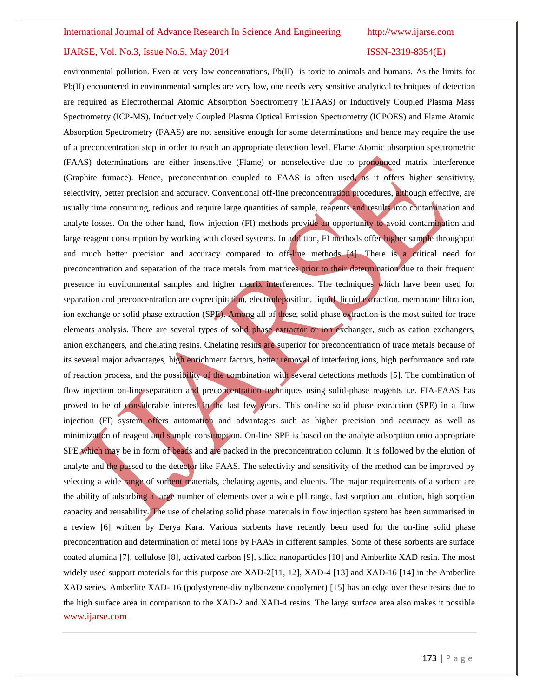www.ijarse.com environmental pollution. Even at very low concentrations, Pb(II) is toxic to animals and humans. As the limits for Pb(II) encountered in environmental samples are very low, one needs very sensitive analytical techniques of detection are required as Electrothermal Atomic Absorption Spectrometry (ETAAS) or Inductively Coupled Plasma Mass Spectrometry (ICP-MS), Inductively Coupled Plasma Optical Emission Spectrometry (ICPOES) and Flame Atomic Absorption Spectrometry (FAAS) are not sensitive enough for some determinations and hence may require the use of a preconcentration step in order to reach an appropriate detection level. Flame Atomic absorption spectrometric (FAAS) determinations are either insensitive (Flame) or nonselective due to pronounced matrix interference (Graphite furnace). Hence, preconcentration coupled to FAAS is often used, as it offers higher sensitivity, selectivity, better precision and accuracy. Conventional off-line preconcentration procedures, although effective, are usually time consuming, tedious and require large quantities of sample, reagents and results into contamination and analyte losses. On the other hand, flow injection (FI) methods provide an opportunity to avoid contamination and large reagent consumption by working with closed systems. In addition, FI methods offer higher sample throughput and much better precision and accuracy compared to off-line methods [4]. There is a critical need for preconcentration and separation of the trace metals from matrices prior to their determination due to their frequent presence in environmental samples and higher matrix interferences. The techniques which have been used for separation and preconcentration are coprecipitation, electrodeposition, liquid–liquid extraction, membrane filtration, ion exchange or solid phase extraction (SPE). Among all of these, solid phase extraction is the most suited for trace elements analysis. There are several types of solid phase extractor or ion exchanger, such as cation exchangers, anion exchangers, and chelating resins. Chelating resins are superior for preconcentration of trace metals because of its several major advantages, high enrichment factors, better removal of interfering ions, high performance and rate of reaction process, and the possibility of the combination with several detections methods [5]. The combination of flow injection on-line separation and preconcentration techniques using solid-phase reagents i.e. FIA-FAAS has proved to be of considerable interest in the last few years. This on-line solid phase extraction (SPE) in a flow injection (FI) system offers automation and advantages such as higher precision and accuracy as well as minimization of reagent and sample consumption. On-line SPE is based on the analyte adsorption onto appropriate SPE which may be in form of beads and are packed in the preconcentration column. It is followed by the elution of analyte and the passed to the detector like FAAS. The selectivity and sensitivity of the method can be improved by selecting a wide range of sorbent materials, chelating agents, and eluents. The major requirements of a sorbent are the ability of adsorbing a large number of elements over a wide pH range, fast sorption and elution, high sorption capacity and reusability. The use of chelating solid phase materials in flow injection system has been summarised in a review [6] written by Derya Kara. Various sorbents have recently been used for the on-line solid phase preconcentration and determination of metal ions by FAAS in different samples. Some of these sorbents are surface coated alumina [7], cellulose [8], activated carbon [9], silica nanoparticles [10] and Amberlite XAD resin. The most widely used support materials for this purpose are XAD-2[11, 12], XAD-4 [13] and XAD-16 [14] in the Amberlite XAD series. Amberlite XAD- 16 (polystyrene-divinylbenzene copolymer) [15] has an edge over these resins due to the high surface area in comparison to the XAD-2 and XAD-4 resins. The large surface area also makes it possible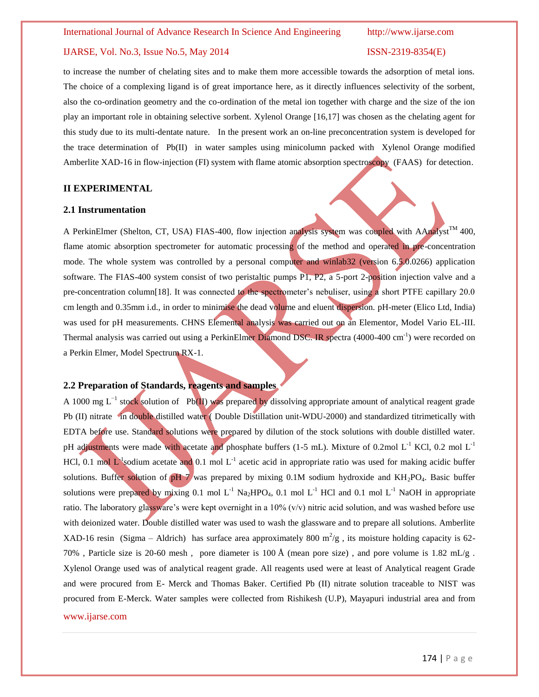to increase the number of chelating sites and to make them more accessible towards the adsorption of metal ions. The choice of a complexing ligand is of great importance here, as it directly influences selectivity of the sorbent, also the co-ordination geometry and the co-ordination of the metal ion together with charge and the size of the ion play an important role in obtaining selective sorbent. Xylenol Orange [16,17] was chosen as the chelating agent for this study due to its multi-dentate nature. In the present work an on-line preconcentration system is developed for the trace determination of Pb(II) in water samples using minicolumn packed with Xylenol Orange modified Amberlite XAD-16 in flow-injection (FI) system with flame atomic absorption spectroscopy (FAAS) for detection.

# **II EXPERIMENTAL**

### **2.1 Instrumentation**

A PerkinElmer (Shelton, CT, USA) FIAS-400, flow injection analysis system was coupled with AAnalyst<sup>TM</sup> 400, flame atomic absorption spectrometer for automatic processing of the method and operated in pre-concentration mode. The whole system was controlled by a personal computer and winlab32 (version 6.5.0.0266) application software. The FIAS-400 system consist of two peristaltic pumps P1, P2, a 5-port 2-position injection valve and a pre-concentration column[18]. It was connected to the spectrometer's nebuliser, using a short PTFE capillary 20.0 cm length and 0.35mm i.d., in order to minimise the dead volume and eluent dispersion. pH-meter (Elico Ltd, India) was used for pH measurements. CHNS Elemental analysis was carried out on an Elementor, Model Vario EL-III. Thermal analysis was carried out using a PerkinElmer Diamond DSC. IR spectra (4000-400 cm<sup>-1</sup>) were recorded on a Perkin Elmer, Model Spectrum RX-1.

# **2.2 Preparation of Standards, reagents and samples**

www.ijarse.com A 1000 mg L<sup>-1</sup> stock solution of Pb(II) was prepared by dissolving appropriate amount of analytical reagent grade Pb (II) nitrate in double distilled water ( Double Distillation unit-WDU-2000) and standardized titrimetically with EDTA before use. Standard solutions were prepared by dilution of the stock solutions with double distilled water. pH adjustments were made with acetate and phosphate buffers (1-5 mL). Mixture of 0.2mol L<sup>-1</sup> KCl, 0.2 mol L<sup>-1</sup> HCl, 0.1 mol  $L^1$ sodium acetate and 0.1 mol  $L^1$  acetic acid in appropriate ratio was used for making acidic buffer solutions. Buffer solution of  $pH 7$  was prepared by mixing 0.1M sodium hydroxide and  $KH_2PO_4$ . Basic buffer solutions were prepared by mixing 0.1 mol  $L^{-1}$  Na<sub>2</sub>HPO<sub>4</sub>, 0.1 mol  $L^{-1}$  HCl and 0.1 mol  $L^{-1}$  NaOH in appropriate ratio. The laboratory glassware's were kept overnight in a 10% (v/v) nitric acid solution, and was washed before use with deionized water. Double distilled water was used to wash the glassware and to prepare all solutions. Amberlite XAD-16 resin (Sigma – Aldrich) has surface area approximately 800  $m^2/g$ , its moisture holding capacity is 62-70% , Particle size is 20-60 mesh, pore diameter is 100 Å (mean pore size), and pore volume is 1.82 mL/g. Xylenol Orange used was of analytical reagent grade. All reagents used were at least of Analytical reagent Grade and were procured from E- Merck and Thomas Baker. Certified Pb (II) nitrate solution traceable to NIST was procured from E-Merck. Water samples were collected from Rishikesh (U.P), Mayapuri industrial area and from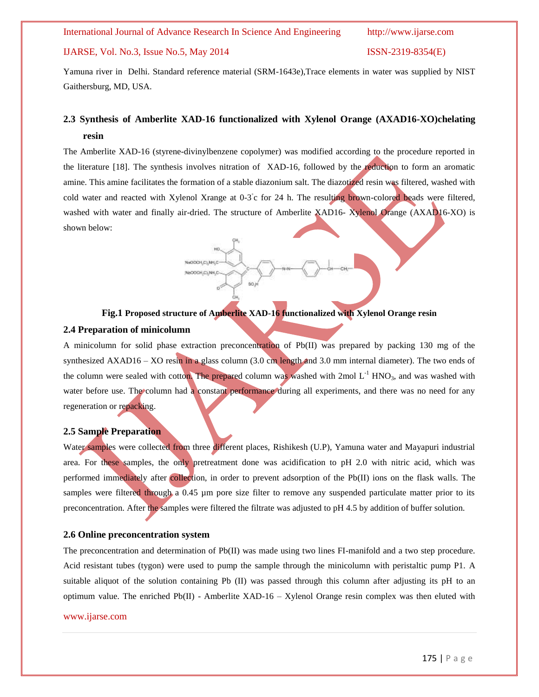NuODOH,C),NH,C NaOOCH,C) NH,C

# IJARSE, Vol. No.3, Issue No.5, May 2014 ISSN-2319-8354(E)

Yamuna river in Delhi. Standard reference material (SRM-1643e),Trace elements in water was supplied by NIST Gaithersburg, MD, USA.

# **2.3 Synthesis of Amberlite XAD-16 functionalized with Xylenol Orange (AXAD16-XO)chelating resin**

The Amberlite XAD-16 (styrene-divinylbenzene copolymer) was modified according to the procedure reported in the literature [18]. The synthesis involves nitration of XAD-16, followed by the reduction to form an aromatic amine. This amine facilitates the formation of a stable diazonium salt. The diazotized resin was filtered, washed with cold water and reacted with Xylenol Xrange at 0-3°c for 24 h. The resulting brown-colored beads were filtered, washed with water and finally air-dried. The structure of Amberlite XAD16- Xylenol Orange (AXAD16-XO) is shown below:

**Fig.1 Proposed structure of Amberlite XAD-16 functionalized with Xylenol Orange resin 2.4 Preparation of minicolumn**

A minicolumn for solid phase extraction preconcentration of Pb(II) was prepared by packing 130 mg of the synthesized AXAD16 – XO resin in a glass column (3.0 cm length and 3.0 mm internal diameter). The two ends of the column were sealed with cotton. The prepared column was washed with  $2 \text{mol L}^{-1}$  HNO<sub>3</sub>, and was washed with water before use. The column had a constant performance during all experiments, and there was no need for any regeneration or repacking.

### **2.5 Sample Preparation**

Water samples were collected from three different places, Rishikesh (U.P), Yamuna water and Mayapuri industrial area. For these samples, the only pretreatment done was acidification to pH 2.0 with nitric acid, which was performed immediately after collection, in order to prevent adsorption of the Pb(II) ions on the flask walls. The samples were filtered through a 0.45 µm pore size filter to remove any suspended particulate matter prior to its preconcentration. After the samples were filtered the filtrate was adjusted to pH 4.5 by addition of buffer solution.

### **2.6 Online preconcentration system**

The preconcentration and determination of Pb(II) was made using two lines FI-manifold and a two step procedure. Acid resistant tubes (tygon) were used to pump the sample through the minicolumn with peristaltic pump P1. A suitable aliquot of the solution containing Pb (II) was passed through this column after adjusting its pH to an optimum value. The enriched  $Pb(II)$  - Amberlite XAD-16 – Xylenol Orange resin complex was then eluted with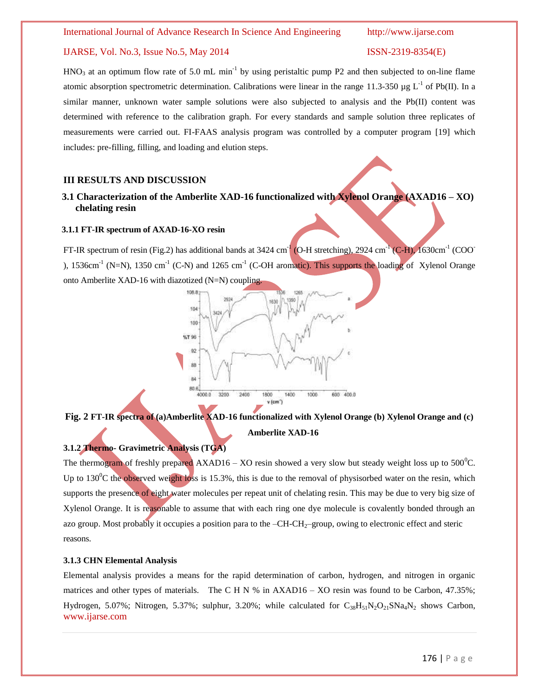$HNO<sub>3</sub>$  at an optimum flow rate of 5.0 mL min<sup>-1</sup> by using peristaltic pump P2 and then subjected to on-line flame atomic absorption spectrometric determination. Calibrations were linear in the range 11.3-350 µg  $L^{-1}$  of Pb(II). In a similar manner, unknown water sample solutions were also subjected to analysis and the Pb(II) content was determined with reference to the calibration graph. For every standards and sample solution three replicates of measurements were carried out. FI-FAAS analysis program was controlled by a computer program [19] which includes: pre-filling, filling, and loading and elution steps.

# **III RESULTS AND DISCUSSION**

# **3.1 Characterization of the Amberlite XAD-16 functionalized with Xylenol Orange (AXAD16 – XO) chelating resin**

# **3.1.1 FT-IR spectrum of AXAD-16-XO resin**

FT-IR spectrum of resin (Fig.2) has additional bands at 3424 cm<sup>-1</sup> (O-H stretching), 2924 cm<sup>-1</sup> (C-H), 1630cm<sup>-1</sup> (COO ), 1536cm<sup>-1</sup> (N=N), 1350 cm<sup>-1</sup> (C-N) and 1265 cm<sup>-1</sup> (C-OH aromatic). This supports the loading of Xylenol Orange onto Amberlite XAD-16 with diazotized (N=N) coupling.



# **Fig. 2 FT-IR spectra of (a)Amberlite XAD-16 functionalized with Xylenol Orange (b) Xylenol Orange and (c) Amberlite XAD-16**

# **3.1.2 Thermo- Gravimetric Analysis (TGA)**

The thermogram of freshly prepared AXAD16 – XO resin showed a very slow but steady weight loss up to  $500^{\circ}$ C. Up to 130 $\rm{^0C}$  the observed weight loss is 15.3%, this is due to the removal of physisorbed water on the resin, which supports the presence of eight water molecules per repeat unit of chelating resin. This may be due to very big size of Xylenol Orange. It is reasonable to assume that with each ring one dye molecule is covalently bonded through an azo group. Most probably it occupies a position para to the  $-CH-CH_{2}$ -group, owing to electronic effect and steric reasons.

### **3.1.3 CHN Elemental Analysis**

www.ijarse.com Elemental analysis provides a means for the rapid determination of carbon, hydrogen, and nitrogen in organic matrices and other types of materials. The C H N % in AXAD16 – XO resin was found to be Carbon, 47.35%; Hydrogen, 5.07%; Nitrogen, 5.37%; sulphur, 3.20%; while calculated for  $C_{38}H_{51}N_2O_{21}SNa_4N_2$  shows Carbon,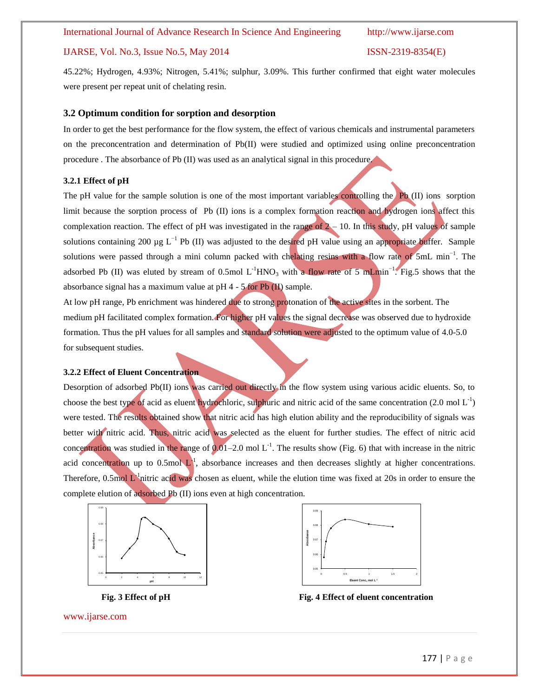45.22%; Hydrogen, 4.93%; Nitrogen, 5.41%; sulphur, 3.09%. This further confirmed that eight water molecules were present per repeat unit of chelating resin.

# **3.2 Optimum condition for sorption and desorption**

In order to get the best performance for the flow system, the effect of various chemicals and instrumental parameters on the preconcentration and determination of Pb(II) were studied and optimized using online preconcentration procedure . The absorbance of Pb (II) was used as an analytical signal in this procedure.

### **3.2.1 Effect of pH**

The pH value for the sample solution is one of the most important variables controlling the Pb  $(II)$  ions sorption limit because the sorption process of Pb (II) ions is a complex formation reaction and hydrogen ions affect this complexation reaction. The effect of pH was investigated in the range of  $2 - 10$ . In this study, pH values of sample solutions containing 200 µg  $L^{-1}$  Pb (II) was adjusted to the desired pH value using an appropriate buffer. Sample solutions were passed through a mini column packed with chelating resins with a flow rate of 5mL min<sup>-1</sup>. The adsorbed Pb (II) was eluted by stream of 0.5mol L<sup>-1</sup>HNO<sub>3</sub> with a flow rate of 5 mLmin<sup>-1</sup>. Fig.5 shows that the absorbance signal has a maximum value at pH 4 - 5 for Pb (II) sample.

At low pH range, Pb enrichment was hindered due to strong protonation of the active sites in the sorbent. The medium pH facilitated complex formation. For higher pH values the signal decrease was observed due to hydroxide formation. Thus the pH values for all samples and standard solution were adjusted to the optimum value of 4.0-5.0 for subsequent studies.

### **3.2.2 Effect of Eluent Concentration**

Desorption of adsorbed Pb(II) ions was carried out directly in the flow system using various acidic eluents. So, to choose the best type of acid as eluent hydrochloric, sulphuric and nitric acid of the same concentration  $(2.0 \text{ mol L}^{-1})$ were tested. The results obtained show that nitric acid has high elution ability and the reproducibility of signals was better with nitric acid. Thus, nitric acid was selected as the eluent for further studies. The effect of nitric acid concentration was studied in the range of  $0.01-2.0$  mol L<sup>-1</sup>. The results show (Fig. 6) that with increase in the nitric acid concentration up to  $0.5$ mol  $L<sup>1</sup>$ , absorbance increases and then decreases slightly at higher concentrations. Therefore,  $0.5$ mol L<sup>1</sup>nitric acid was chosen as eluent, while the elution time was fixed at 20s in order to ensure the complete elution of adsorbed Pb (II) ions even at high concentration.



0.05 0.06 0.07 0.08 0.09 0 0.5 1 1.5 2 **bsobance Eluent Conc., mol L-1**

 **Fig. 3 Effect of pH Fig. 4 Effect of eluent concentration**



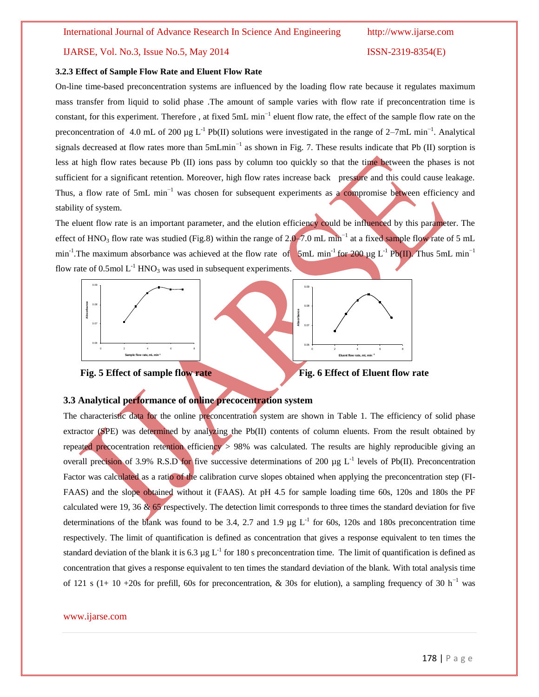### **3.2.3 Effect of Sample Flow Rate and Eluent Flow Rate**

On-line time-based preconcentration systems are influenced by the loading flow rate because it regulates maximum mass transfer from liquid to solid phase .The amount of sample varies with flow rate if preconcentration time is constant, for this experiment. Therefore, at fixed 5mL min<sup>-1</sup> eluent flow rate, the effect of the sample flow rate on the preconcentration of 4.0 mL of 200  $\mu$ g L<sup>-1</sup> Pb(II) solutions were investigated in the range of 2–7mL min<sup>-1</sup>. Analytical signals decreased at flow rates more than  $5mLmin^{-1}$  as shown in Fig. 7. These results indicate that Pb (II) sorption is less at high flow rates because Pb (II) ions pass by column too quickly so that the time between the phases is not sufficient for a significant retention. Moreover, high flow rates increase back pressure and this could cause leakage. Thus, a flow rate of 5mL min<sup>-1</sup> was chosen for subsequent experiments as a compromise between efficiency and stability of system.

The eluent flow rate is an important parameter, and the elution efficiency could be influenced by this parameter. The effect of HNO<sub>3</sub> flow rate was studied (Fig.8) within the range of 2.0–7.0 mL min<sup>-1</sup> at a fixed sample flow rate of 5 mL min<sup>-1</sup>. The maximum absorbance was achieved at the flow rate of 5mL min<sup>-1</sup> for 200 µg L<sup>-1</sup> Pb(II). Thus 5mL min<sup>-1</sup> flow rate of 0.5mol  $L^{-1}$  HNO<sub>3</sub> was used in subsequent experiments.







# **3.3 Analytical performance of online precocentration system**

The characteristic data for the online preconcentration system are shown in Table 1. The efficiency of solid phase extractor (SPE) was determined by analyzing the  $Pb(II)$  contents of column eluents. From the result obtained by repeated precocentration retention efficiency > 98% was calculated. The results are highly reproducible giving an overall precision of 3.9% R.S.D for five successive determinations of 200  $\mu$ g L<sup>-1</sup> levels of Pb(II). Preconcentration Factor was calculated as a ratio of the calibration curve slopes obtained when applying the preconcentration step (FI-FAAS) and the slope obtained without it (FAAS). At pH 4.5 for sample loading time 60s, 120s and 180s the PF calculated were 19, 36  $\&$  65 respectively. The detection limit corresponds to three times the standard deviation for five determinations of the blank was found to be 3.4, 2.7 and 1.9  $\mu$ g L<sup>-1</sup> for 60s, 120s and 180s preconcentration time respectively. The limit of quantification is defined as concentration that gives a response equivalent to ten times the standard deviation of the blank it is 6.3  $\mu$ g L<sup>-1</sup> for 180 s preconcentration time. The limit of quantification is defined as concentration that gives a response equivalent to ten times the standard deviation of the blank. With total analysis time of 121 s (1+ 10 +20s for prefill, 60s for preconcentration, & 30s for elution), a sampling frequency of 30 h<sup>-1</sup> was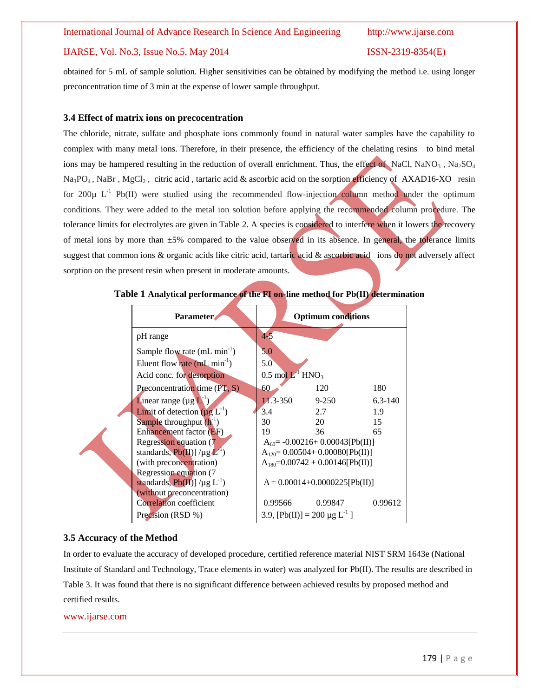obtained for 5 mL of sample solution. Higher sensitivities can be obtained by modifying the method i.e. using longer preconcentration time of 3 min at the expense of lower sample throughput.

# **3.4 Effect of matrix ions on precocentration**

The chloride, nitrate, sulfate and phosphate ions commonly found in natural water samples have the capability to complex with many metal ions. Therefore, in their presence, the efficiency of the chelating resins to bind metal ions may be hampered resulting in the reduction of overall enrichment. Thus, the effect of NaCl, NaNO<sub>3</sub>, Na<sub>2</sub>SO<sub>4</sub> Na<sub>3</sub>PO<sub>4</sub>, NaBr, MgCl<sub>2</sub>, citric acid, tartaric acid & ascorbic acid on the sorption efficiency of AXAD16-XO resin for 200 $\mu$  L<sup>-1</sup> Pb(II) were studied using the recommended flow-injection column method under the optimum conditions. They were added to the metal ion solution before applying the recommended column procedure. The tolerance limits for electrolytes are given in Table 2. A species is considered to interfere when it lowers the recovery of metal ions by more than  $\pm 5\%$  compared to the value observed in its absence. In general, the tolerance limits suggest that common ions & organic acids like citric acid, tartaric acid & ascorbic acid ions do not adversely affect sorption on the present resin when present in moderate amounts.

| <b>Parameter</b>                           |                                          |  | <b>Optimum conditions</b>              |             |  |  |  |
|--------------------------------------------|------------------------------------------|--|----------------------------------------|-------------|--|--|--|
| pH range                                   | $4 - 5$                                  |  |                                        |             |  |  |  |
| Sample flow rate $(mL min^{-1})$           | 5.0                                      |  |                                        |             |  |  |  |
| Eluent flow rate $(mL min^{-1})$           | 5.0                                      |  |                                        |             |  |  |  |
| Acid conc. for desorption                  | $0.5 \text{ mol} L^{1}$ HNO <sub>3</sub> |  |                                        |             |  |  |  |
| Preconcentration time $(PT, S)$            | 60                                       |  | 120                                    | 180         |  |  |  |
| <b>L</b> inear range $(\mu g L^{-1})$      | $11.3 - 350$                             |  | $9 - 250$                              | $6.3 - 140$ |  |  |  |
| <b>Limit</b> of detection $(\mu g L^{-1})$ | 3.4                                      |  | 2.7                                    | 1.9         |  |  |  |
| Sample throughput $(h^{-1})$               | 30                                       |  | 20                                     | 15          |  |  |  |
| Enhancement factor (EF)                    | 19                                       |  | 36                                     | 65          |  |  |  |
| <b>Regression equation (7</b>              |                                          |  | $A_{60} = -0.00216 + 0.00043[Pb(II)]$  |             |  |  |  |
| standards, $Pb(H)$ /µg $L^1$ )             |                                          |  | $A_{120} = 0.00504 + 0.00080[Pb(II)]$  |             |  |  |  |
| (with preconcentration)                    |                                          |  | $A_{180} = 0.00742 + 0.00146$ [Pb(II)] |             |  |  |  |
| Regression equation (7                     |                                          |  |                                        |             |  |  |  |
| standards, $Pb(H)$ ] /µg $L^{-1}$ )        | $A = 0.00014 + 0.0000225$ [Pb(II)]       |  |                                        |             |  |  |  |
| (without preconcentration)                 |                                          |  |                                        |             |  |  |  |
| Correlation coefficient                    | 0.99566                                  |  | 0.99847                                | 0.99612     |  |  |  |
| Precision (RSD %)                          | 3.9, $[Pb(II)] = 200 \mu g L^{-1}$       |  |                                        |             |  |  |  |

**Table 1 Analytical performance of the FI on-line method for Pb(II) determination**

# **3.5 Accuracy of the Method**

In order to evaluate the accuracy of developed procedure, certified reference material NIST SRM 1643e (National Institute of Standard and Technology, Trace elements in water) was analyzed for Pb(II). The results are described in Table 3. It was found that there is no significant difference between achieved results by proposed method and certified results.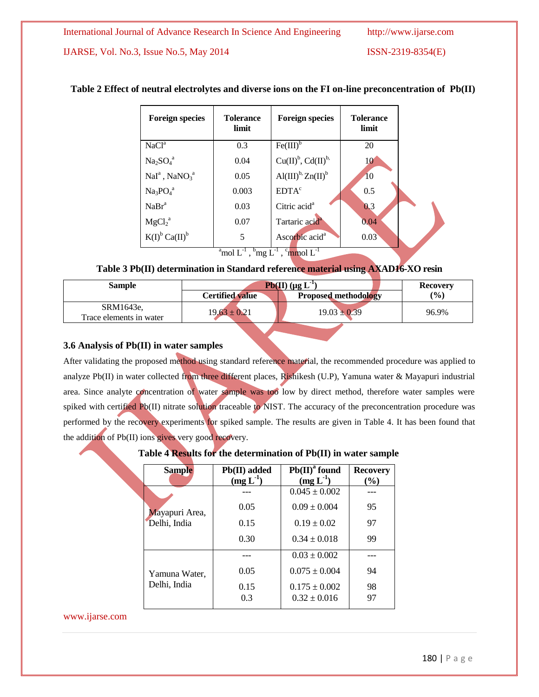| <b>Foreign species</b>                  | <b>Tolerance</b><br>limit | <b>Foreign species</b>                         | <b>Tolerance</b><br>limit |  |
|-----------------------------------------|---------------------------|------------------------------------------------|---------------------------|--|
| NaCl <sup>a</sup>                       | 0.3                       | $Fe(III)^b$                                    | 20                        |  |
| $Na2SO4a$                               | 0.04                      | $Cu(II)b, Cd(II)b$                             | 10                        |  |
| $NaIa$ , NaNO <sub>3</sub> <sup>a</sup> | 0.05                      | $\mathrm{Al(III)}^{b}$ , $\mathrm{Zn(II)}^{b}$ | <b>10</b>                 |  |
| $Na3PO4a$                               | 0.003                     | EDTA <sup>c</sup>                              | 0.5                       |  |
| NaBr <sup>a</sup>                       | 0.03                      | Citric acid <sup>a</sup>                       | 0.3                       |  |
| MgCl <sub>2</sub> <sup>a</sup>          | 0.07                      | Tartaric acid <sup>a</sup>                     | 0.04                      |  |
| $K(I)^b$ Ca $(II)^b$                    | 5                         | Ascorbic acid <sup>a</sup>                     | 0.03                      |  |

# **Table 2 Effect of neutral electrolytes and diverse ions on the FI on-line preconcentration of Pb(II)**

 $\rm{a}^a$ mol  $\rm{L}^{-1}$  ,  $\rm{b}^b$ mg  $\rm{L}^{-1}$  ,  $\rm{c}^b$ mmol  $\rm{L}^{-1}$ 

# **Table 3 Pb(II) determination in Standard reference material using AXAD16-XO resin**

| <b>Sample</b>                        | $Pb(II)$ (µg L <sup>-1</sup> ) | <b>Recovery</b>             |       |
|--------------------------------------|--------------------------------|-----------------------------|-------|
|                                      | <b>Certified value</b>         | <b>Proposed methodology</b> | (%)   |
| SRM1643e.<br>Trace elements in water | $19.63 \pm 0.21$               | $19.03 \pm 0.39$            | 96.9% |

# **3.6 Analysis of Pb(II) in water samples**

After validating the proposed method using standard reference material, the recommended procedure was applied to analyze Pb(II) in water collected from three different places, Rishikesh (U.P), Yamuna water & Mayapuri industrial area. Since analyte concentration of water sample was too low by direct method, therefore water samples were spiked with certified Pb(II) nitrate solution traceable to NIST. The accuracy of the preconcentration procedure was performed by the recovery experiments for spiked sample. The results are given in Table 4. It has been found that the addition of Pb(II) ions gives very good recovery.

# **Table 4 Results for the determination of Pb(II) in water sample**

| <b>Sample</b>  | $Pb(II)^{a}$ found<br>$Pb(II)$ added |                   | <b>Recovery</b> |  |
|----------------|--------------------------------------|-------------------|-----------------|--|
|                | $(mg L^{-1})$                        | $(mg L-1)$        | $(\%)$          |  |
|                |                                      | $0.045 \pm 0.002$ |                 |  |
| Mayapuri Area, | 0.05                                 | $0.09 \pm 0.004$  | 95              |  |
| Delhi, India   | 0.15                                 | $0.19 \pm 0.02$   | 97              |  |
|                | 0.30                                 | $0.34 \pm 0.018$  | 99              |  |
|                |                                      | $0.03 \pm 0.002$  |                 |  |
| Yamuna Water,  | 0.05                                 | $0.075 \pm 0.004$ | 94              |  |
| Delhi, India   | 0.15                                 | $0.175 \pm 0.002$ | 98              |  |
|                | 0.3                                  | $0.32 \pm 0.016$  | 97              |  |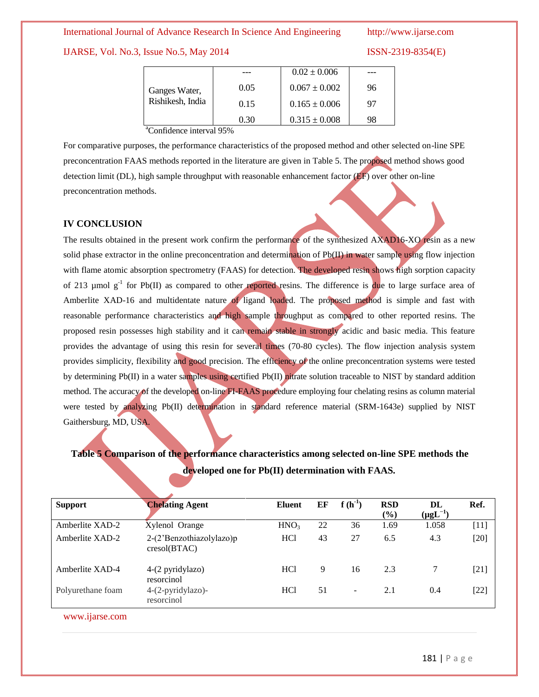IJARSE, Vol. No.3, Issue No.5, May 2014 ISSN-2319-8354(E)

|                  |      | $0.02 \pm 0.006$  |    |
|------------------|------|-------------------|----|
| Ganges Water,    | 0.05 | $0.067 \pm 0.002$ | 96 |
| Rishikesh, India | 0.15 | $0.165 \pm 0.006$ | 97 |
|                  | 0.30 | $0.315 \pm 0.008$ | 98 |

<sup>a</sup>Confidence interval 95%

For comparative purposes, the performance characteristics of the proposed method and other selected on-line SPE preconcentration FAAS methods reported in the literature are given in Table 5. The proposed method shows good detection limit (DL), high sample throughput with reasonable enhancement factor (EF) over other on-line preconcentration methods.

# **IV CONCLUSION**

The results obtained in the present work confirm the performance of the synthesized AXAD16-XO resin as a new solid phase extractor in the online preconcentration and determination of  $Pb(\Pi)$  in water sample using flow injection with flame atomic absorption spectrometry (FAAS) for detection. The developed resin shows high sorption capacity of 213  $\mu$ mol g<sup>-1</sup> for Pb(II) as compared to other reported resins. The difference is due to large surface area of Amberlite XAD-16 and multidentate nature of ligand loaded. The proposed method is simple and fast with reasonable performance characteristics and high sample throughput as compared to other reported resins. The proposed resin possesses high stability and it can remain stable in strongly acidic and basic media. This feature provides the advantage of using this resin for several times (70-80 cycles). The flow injection analysis system provides simplicity, flexibility and good precision. The efficiency of the online preconcentration systems were tested by determining Pb(II) in a water samples using certified Pb(II) nitrate solution traceable to NIST by standard addition method. The accuracy of the developed on-line FI-FAAS procedure employing four chelating resins as column material were tested by analyzing Pb(II) determination in standard reference material (SRM-1643e) supplied by NIST Gaithersburg, MD, USA.

# **Table 5 Comparison of the performance characteristics among selected on-line SPE methods the developed one for Pb(II) determination with FAAS.**

| <b>Support</b>    | <b>Chelating Agent</b>                   | <b>Eluent</b>    | EF | $f(h^{-1})$ | <b>RSD</b><br>(%) | DL<br>$(\mu g L^{-1})$ | Ref.   |
|-------------------|------------------------------------------|------------------|----|-------------|-------------------|------------------------|--------|
| Amberlite XAD-2   | Xylenol Orange                           | HNO <sub>3</sub> | 22 | 36          | 1.69              | 1.058                  | $[11]$ |
| Amberlite XAD-2   | 2-(2'Benzothiazolylazo)p<br>cresol(BTAC) | HC <sub>1</sub>  | 43 | 27          | 6.5               | 4.3                    | $[20]$ |
| Amberlite XAD-4   | 4-(2 pyridylazo)<br>resorcinol           | HC <sub>1</sub>  | 9  | 16          | 2.3               |                        | $[21]$ |
| Polyurethane foam | 4-(2-pyridylazo)-<br>resorcinol          | HC <sub>1</sub>  | 51 |             | 2.1               | 0.4                    | $[22]$ |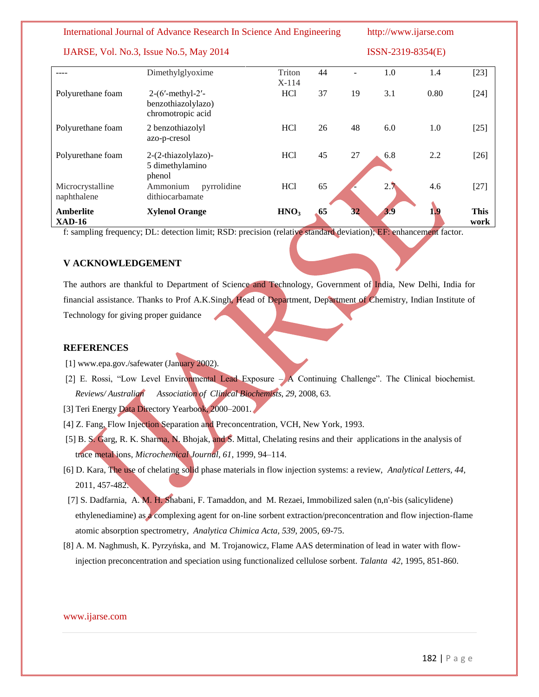# IJARSE, Vol. No.3, Issue No.5, May 2014 ISSN-2319-8354(E)

|                                 | Dimethylglyoxime                                              | Triton<br>$X-114$ | 44 |    | 1.0 | 1.4  | $[23]$              |
|---------------------------------|---------------------------------------------------------------|-------------------|----|----|-----|------|---------------------|
| Polyurethane foam               | $2-(6'-methyl-2'-$<br>benzothiazolylazo)<br>chromotropic acid | HC <sub>1</sub>   | 37 | 19 | 3.1 | 0.80 | $[24]$              |
| Polyurethane foam               | 2 benzothiazolyl<br>azo-p-cresol                              | HC1               | 26 | 48 | 6.0 | 1.0  | $[25]$              |
| Polyurethane foam               | 2-(2-thiazolylazo)-<br>5 dimethylamino<br>phenol              | <b>HCl</b>        | 45 | 27 | 6.8 | 2.2  | $[26]$              |
| Microcrystalline<br>naphthalene | Ammonium<br>pyrrolidine<br>dithiocarbamate                    | <b>HCl</b>        | 65 |    | 2.7 | 4.6  | $[27]$              |
| Amberlite<br>$XAD-16$           | <b>Xylenol Orange</b>                                         | HNO <sub>3</sub>  | 65 | 32 | 3.9 | 1,9  | <b>This</b><br>work |

f: sampling frequency; DL: detection limit; RSD: precision (relative standard deviation); EF: enhancement factor.

# **V ACKNOWLEDGEMENT**

The authors are thankful to Department of Science and Technology, Government of India, New Delhi, India for financial assistance. Thanks to Prof A.K.Singh, Head of Department, Department of Chemistry, Indian Institute of Technology for giving proper guidance

# **REFERENCES**

- [1] www.epa.gov./safewater (January 2002).
- [2] E. Rossi, "Low Level Environmental Lead Exposure  $-\cancel{A}$  Continuing Challenge". The Clinical biochemist. *Reviews/ Australian Association of Clinical Biochemists*, *29*, 2008, 63.
- [3] Teri Energy Data Directory Yearbook, 2000–2001.
- [4] Z. Fang, Flow Injection Separation and Preconcentration, VCH, New York, 1993.
- [5] B. S. Garg, R. K. Sharma, N. Bhojak, and S. Mittal, Chelating resins and their applications in the analysis of trace metal ions, *Microchemical Journal, 61*, 1999, 94–114.
- [6] D. Kara, The use of chelating solid phase materials in flow injection systems: a review, *Analytical Letters, 44,* 2011, 457-482.
- [7] S. Dadfarnia, A. M. H. Shabani, F. Tamaddon, and M. Rezaei, Immobilized salen (n,n'-bis (salicylidene) ethylenediamine) as a complexing agent for on-line sorbent extraction/preconcentration and flow injection-flame atomic absorption spectrometry, *Analytica Chimica Acta, 539*, 2005, 69-75.
- [8] A. M. Naghmush, K. Pyrzyńska, and M. Trojanowicz, Flame AAS determination of lead in water with flowinjection preconcentration and speciation using functionalized cellulose sorbent. *Talanta 42*, 1995, 851-860.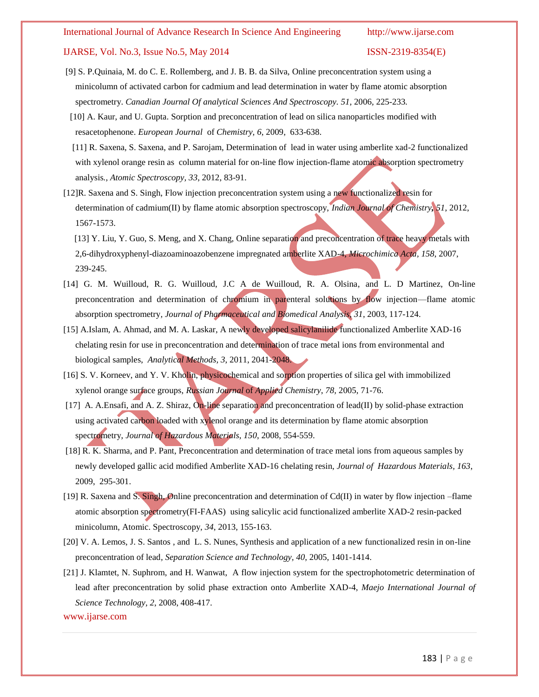# IJARSE, Vol. No.3, Issue No.5, May 2014 ISSN-2319-8354(E)

- [9] S. P.Quinaia, M. do C. E. Rollemberg, and J. B. B. da Silva, Online preconcentration system using a minicolumn of activated carbon for cadmium and lead determination in water by flame atomic absorption spectrometry. *Canadian Journal Of analytical Sciences And Spectroscopy. 51,* 2006*,* 225-233*.*
- [10] A. Kaur, and U. Gupta. Sorption and preconcentration of lead on silica nanoparticles modified with resacetophenone. *European Journal* of *Chemistry, 6*, 2009, 633-638.
- [11] R. Saxena, S. Saxena, and P. Sarojam, Determination of lead in water using amberlite xad-2 functionalized with xylenol orange resin as column material for on-line flow injection-flame atomic absorption spectrometry analysis*., Atomic Spectroscopy, 33*, 2012, 83-91.
- [12]R. Saxena and S. Singh, Flow injection preconcentration system using a new functionalized resin for determination of cadmium(II) by flame atomic absorption spectroscopy, *Indian Journal of Chemistry, 51*, 2012, 1567-1573.

 [13] Y. Liu, Y. Guo, S. Meng, and X. Chang, Online separation and preconcentration of trace heavy metals with 2,6-dihydroxyphenyl-diazoaminoazobenzene impregnated amberlite XAD-4, *Microchimica Acta, 158*, 2007, 239-245.

- [14] G. M. Wuilloud, R. G. Wuilloud, J.C A de Wuilloud, R. A. Olsina, and L. D Martinez, On-line preconcentration and determination of chromium in parenteral solutions by flow injection—flame atomic absorption spectrometry*, Journal of Pharmaceutical and Biomedical Analysis*, *31*, 2003, 117-124.
- [15] A.Islam, A. Ahmad, and M. A. Laskar, A newly developed salicylanilide functionalized Amberlite XAD-16 chelating resin for use in preconcentration and determination of trace metal ions from environmental and biological samples, *Analytical Methods, 3*, 2011, 2041-2048.
- [16] S. [V.](http://link.springer.com/search?facet-author=%22S.+V.+Korneev%22) Korneev, and Y. V. [Kholin,](http://link.springer.com/search?facet-author=%22Yu.+V.+Kholin%22) physicochemical and sorption properties of silica gel with immobilized xylenol orange surface groups, *Russian Journal* of *Applied Chemistry*, *78,* 2005, 71-76.
- [17] A. A.Ensafi, and A. Z. Shiraz, On-line separation and preconcentration of lead(II) by solid-phase extraction using activated carbon loaded with xylenol orange and its determination by flame atomic absorption spectrometry, *Journal of Hazardous Materials*, *[150](http://www.sciencedirect.com/science?_ob=PublicationURL&_hubEid=1-s2.0-S0304389407X03170&_cid=271390&_pubType=JL&view=c&_auth=y&_acct=C000228598&_version=1&_urlVersion=0&_userid=10&md5=34bbb2932ef72c9153440e237d8ae842)*, 2008, 554-559.
- [18] R. K. [Sharma,](http://www.cabdirect.org/search.html?q=au%3A%22Sharma%2C+R.+K.%22) and [P. Pant,](http://www.cabdirect.org/search.html?q=au%3A%22Parul+Pant%22) Preconcentration and determination of trace metal ions from aqueous samples by newly developed gallic acid modified Amberlite XAD-16 chelating resin, *[Journal of Hazardous Materials,](http://www.cabdirect.org/search.html?q=do%3A%22Journal+of+Hazardous+Materials%22) 163*, 2009, 295-301.
- [19] R. Saxena and S. Singh, Online preconcentration and determination of  $Cd(II)$  in water by flow injection –flame atomic absorption spectrometry(FI-FAAS) using salicylic acid functionalized amberlite XAD-2 resin-packed minicolumn, Atomic. Spectroscopy, *34*, 2013, 155-163.
- [20] V. A. Lemos, J. S. Santos , and L. S. Nunes, Synthesis and application of a new functionalized resin in on-line preconcentration of lead*, Separation Science and Technology, 40*, 2005, 1401-1414.
- [21] J. Klamtet, N. Suphrom, and H. Wanwat, A flow injection system for the spectrophotometric determination of lead after preconcentration by solid phase extraction onto Amberlite XAD-4, *Maejo International Journal of Science Technology, 2*, 2008, 408-417.